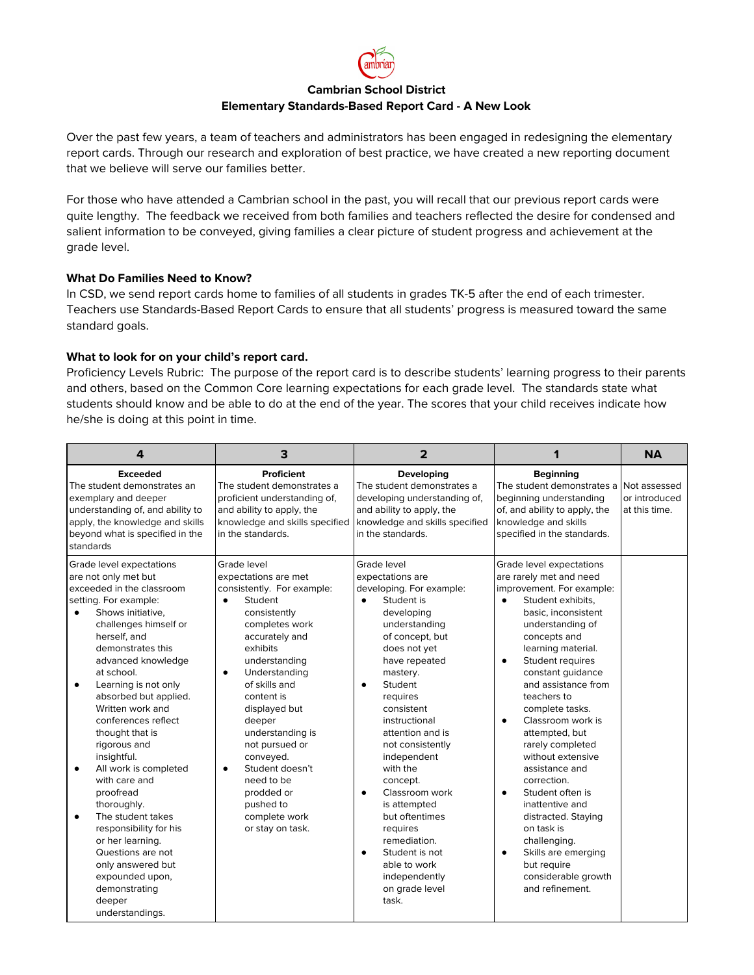

# **Cambrian School District Elementary Standards-Based Report Card - A New Look**

Over the past few years, a team of teachers and administrators has been engaged in redesigning the elementary report cards. Through our research and exploration of best practice, we have created a new reporting document that we believe will serve our families better.

For those who have attended a Cambrian school in the past, you will recall that our previous report cards were quite lengthy. The feedback we received from both families and teachers reflected the desire for condensed and salient information to be conveyed, giving families a clear picture of student progress and achievement at the grade level.

## **What Do Families Need to Know?**

In CSD, we send report cards home to families of all students in grades TK-5 after the end of each trimester. Teachers use Standards-Based Report Cards to ensure that all students' progress is measured toward the same standard goals.

### **What to look for on your child's report card.**

Proficiency Levels Rubric: The purpose of the report card is to describe students' learning progress to their parents and others, based on the Common Core learning expectations for each grade level. The standards state what students should know and be able to do at the end of the year. The scores that your child receives indicate how he/she is doing at this point in time.

| $\overline{4}$                                                                                                                                                                                                                                                                                                                                                                                                                                                                                                                                                                                                                                      | 3                                                                                                                                                                                                                                                                                                                                                                                                                                   | $\overline{2}$                                                                                                                                                                                                                                                                                                                                                                                                                                                                                                     | 1                                                                                                                                                                                                                                                                                                                                                                                                                                                                                                                                                                                                                                                      | <b>NA</b> |
|-----------------------------------------------------------------------------------------------------------------------------------------------------------------------------------------------------------------------------------------------------------------------------------------------------------------------------------------------------------------------------------------------------------------------------------------------------------------------------------------------------------------------------------------------------------------------------------------------------------------------------------------------------|-------------------------------------------------------------------------------------------------------------------------------------------------------------------------------------------------------------------------------------------------------------------------------------------------------------------------------------------------------------------------------------------------------------------------------------|--------------------------------------------------------------------------------------------------------------------------------------------------------------------------------------------------------------------------------------------------------------------------------------------------------------------------------------------------------------------------------------------------------------------------------------------------------------------------------------------------------------------|--------------------------------------------------------------------------------------------------------------------------------------------------------------------------------------------------------------------------------------------------------------------------------------------------------------------------------------------------------------------------------------------------------------------------------------------------------------------------------------------------------------------------------------------------------------------------------------------------------------------------------------------------------|-----------|
| <b>Exceeded</b><br>The student demonstrates an<br>exemplary and deeper<br>understanding of, and ability to<br>apply, the knowledge and skills<br>beyond what is specified in the<br>standards                                                                                                                                                                                                                                                                                                                                                                                                                                                       | Proficient<br>The student demonstrates a<br>proficient understanding of,<br>and ability to apply, the<br>knowledge and skills specified<br>in the standards.                                                                                                                                                                                                                                                                        | Developing<br>The student demonstrates a<br>developing understanding of,<br>and ability to apply, the<br>knowledge and skills specified<br>in the standards.                                                                                                                                                                                                                                                                                                                                                       | <b>Beginning</b><br>The student demonstrates a<br>beginning understanding<br>of, and ability to apply, the<br>knowledge and skills<br>specified in the standards.                                                                                                                                                                                                                                                                                                                                                                                                                                                                                      |           |
| Grade level expectations<br>are not only met but<br>exceeded in the classroom<br>setting. For example:<br>Shows initiative,<br>٠<br>challenges himself or<br>herself, and<br>demonstrates this<br>advanced knowledge<br>at school.<br>Learning is not only<br>٠<br>absorbed but applied.<br>Written work and<br>conferences reflect<br>thought that is<br>rigorous and<br>insightful.<br>All work is completed<br>٠<br>with care and<br>proofread<br>thoroughly.<br>The student takes<br>٠<br>responsibility for his<br>or her learning.<br>Questions are not<br>only answered but<br>expounded upon,<br>demonstrating<br>deeper<br>understandings. | Grade level<br>expectations are met<br>consistently. For example:<br>Student<br>$\bullet$<br>consistently<br>completes work<br>accurately and<br>exhibits<br>understanding<br>Understanding<br>$\bullet$<br>of skills and<br>content is<br>displayed but<br>deeper<br>understanding is<br>not pursued or<br>conveyed.<br>Student doesn't<br>$\bullet$<br>need to be<br>prodded or<br>pushed to<br>complete work<br>or stay on task. | Grade level<br>expectations are<br>developing. For example:<br>Student is<br>$\bullet$<br>developing<br>understanding<br>of concept, but<br>does not yet<br>have repeated<br>mastery.<br>Student<br>requires<br>consistent<br>instructional<br>attention and is<br>not consistently<br>independent<br>with the<br>concept.<br>Classroom work<br>$\bullet$<br>is attempted<br>but oftentimes<br>requires<br>remediation.<br>Student is not<br>$\bullet$<br>able to work<br>independently<br>on grade level<br>task. | Grade level expectations<br>are rarely met and need<br>improvement. For example:<br>Student exhibits,<br>$\bullet$<br>basic, inconsistent<br>understanding of<br>concepts and<br>learning material.<br>Student requires<br>$\bullet$<br>constant guidance<br>and assistance from<br>teachers to<br>complete tasks.<br>Classroom work is<br>$\bullet$<br>attempted, but<br>rarely completed<br>without extensive<br>assistance and<br>correction.<br>Student often is<br>$\bullet$<br>inattentive and<br>distracted. Staying<br>on task is<br>challenging.<br>Skills are emerging<br>$\bullet$<br>but require<br>considerable growth<br>and refinement. |           |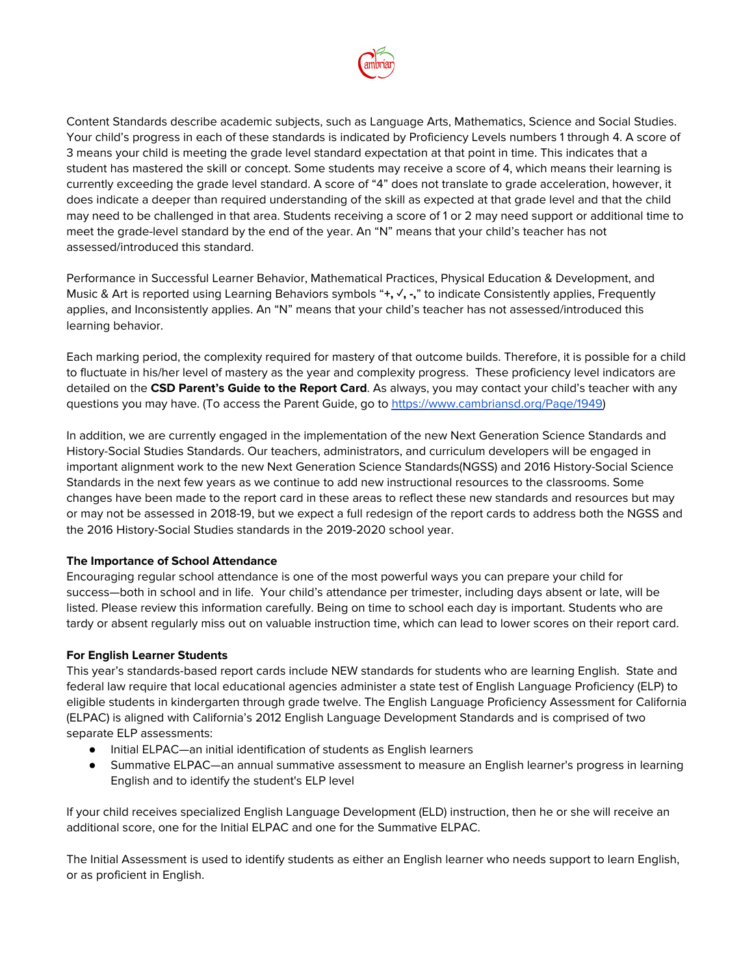

Content Standards describe academic subjects, such as Language Arts, Mathematics, Science and Social Studies. Your child's progress in each of these standards is indicated by Proficiency Levels numbers 1 through 4. A score of 3 means your child is meeting the grade level standard expectation at that point in time. This indicates that a student has mastered the skill or concept. Some students may receive a score of 4, which means their learning is currently exceeding the grade level standard. A score of "4" does not translate to grade acceleration, however, it does indicate a deeper than required understanding of the skill as expected at that grade level and that the child may need to be challenged in that area. Students receiving a score of 1 or 2 may need support or additional time to meet the grade-level standard by the end of the year. An "N" means that your child's teacher has not assessed/introduced this standard.

Performance in Successful Learner Behavior, Mathematical Practices, Physical Education & Development, and Music & Art is reported using Learning Behaviors symbols "**+, ✓, -,**" to indicate Consistently applies, Frequently applies, and Inconsistently applies. An "N" means that your child's teacher has not assessed/introduced this learning behavior.

Each marking period, the complexity required for mastery of that outcome builds. Therefore, it is possible for a child to fluctuate in his/her level of mastery as the year and complexity progress. These proficiency level indicators are detailed on the **CSD Parent's Guide to the Report Card**. As always, you may contact your child's teacher with any questions you may have. (To access the Parent Guide, go to [https://www.cambriansd.org/Page/1949\)](https://www.cambriansd.org/Page/1949)

In addition, we are currently engaged in the implementation of the new Next Generation Science Standards and History-Social Studies Standards. Our teachers, administrators, and curriculum developers will be engaged in important alignment work to the new Next Generation Science Standards(NGSS) and 2016 History-Social Science Standards in the next few years as we continue to add new instructional resources to the classrooms. Some changes have been made to the report card in these areas to reflect these new standards and resources but may or may not be assessed in 2018-19, but we expect a full redesign of the report cards to address both the NGSS and the 2016 History-Social Studies standards in the 2019-2020 school year.

## **The Importance of School Attendance**

Encouraging regular school attendance is one of the most powerful ways you can prepare your child for success—both in school and in life. Your child's attendance per trimester, including days absent or late, will be listed. Please review this information carefully. Being on time to school each day is important. Students who are tardy or absent regularly miss out on valuable instruction time, which can lead to lower scores on their report card.

## **For English Learner Students**

This year's standards-based report cards include NEW standards for students who are learning English. State and federal law require that local educational agencies administer a state test of English Language Proficiency (ELP) to eligible students in kindergarten through grade twelve. The English Language Proficiency Assessment for California (ELPAC) is aligned with California's 2012 English Language Development Standards and is comprised of two separate ELP assessments:

- Initial ELPAC—an initial identification of students as English learners
- Summative ELPAC—an annual summative assessment to measure an English learner's progress in learning English and to identify the student's ELP level

If your child receives specialized English Language Development (ELD) instruction, then he or she will receive an additional score, one for the Initial ELPAC and one for the Summative ELPAC.

The Initial Assessment is used to identify students as either an English learner who needs support to learn English, or as proficient in English.